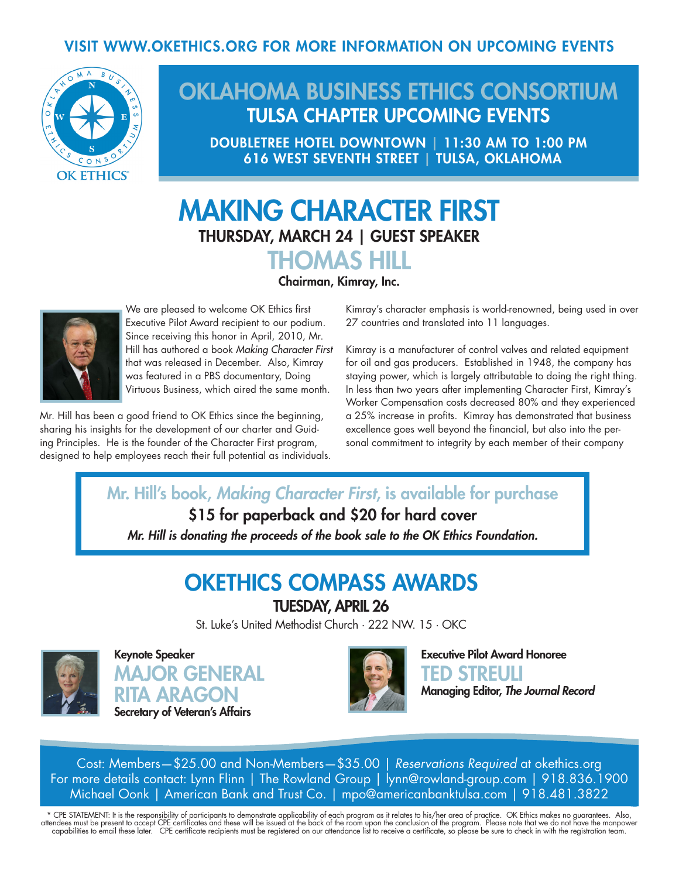#### VISIT WWW.OKETHICS.ORG FOR MORE INFORMATION ON UPCOMING EVENTS



## OKLAHOMA BUSINESS ETHICS CONSORTIUM TULSA CHAPTER UPCOMING EVENTS

DOUBLETREE HOTEL DOWNTOWN | 11:30 AM TO 1:00 PM 616 WEST SEVENTH STREET | TULSA, OKLAHOMA

# MAKING CHARACTER FIRST THURSDAY, MARCH 24 | GUEST SPEAKER



Chairman, Kimray, Inc.



We are pleased to welcome OK Ethics first Executive Pilot Award recipient to our podium. Since receiving this honor in April, 2010, Mr. Hill has authored a book *Making Character First* that was released in December. Also, Kimray was featured in a PBS documentary, Doing Virtuous Business, which aired the same month.

Mr. Hill has been a good friend to OK Ethics since the beginning, sharing his insights for the development of our charter and Guiding Principles. He is the founder of the Character First program, designed to help employees reach their full potential as individuals. Kimray's character emphasis is world-renowned, being used in over 27 countries and translated into 11 languages.

Kimray is a manufacturer of control valves and related equipment for oil and gas producers. Established in 1948, the company has staying power, which is largely attributable to doing the right thing. In less than two years after implementing Character First, Kimray's Worker Compensation costs decreased 80% and they experienced a 25% increase in profits. Kimray has demonstrated that business excellence goes well beyond the financial, but also into the personal commitment to integrity by each member of their company

Mr. Hill's book, *Making Character First*, is available for purchase \$15 for paperback and \$20 for hard cover *Mr. Hill is donating the proceeds of the book sale to the OK Ethics Foundation.* 

### OKETHICS COMPASS AWARDS

TUESDAY, APRIL 26

St. Luke's United Methodist Church · 222 NW. 15 · OKC



Keynote Speaker MAJOR GENERAL RITA ARAGON Secretary of Veteran's Affairs



Executive Pilot Award Honoree TED STREULI Managing Editor, *The Journal Record*

Cost: Members—\$25.00 and Non-Members—\$35.00 | *Reservations Required* at okethics.org For more details contact: Lynn Flinn | The Rowland Group | lynn@rowland-group.com | 918.836.1900 Michael Oonk | American Bank and Trust Co. | mpo@americanbanktulsa.com | 918.481.3822

\* CPE STATEMENT: It is the responsibility of participants to demonstrate applicability of each program as it relates to his/her area of practice. OK Ethics makes no guarantees. Also,<br>attendees must be present to accept CPE